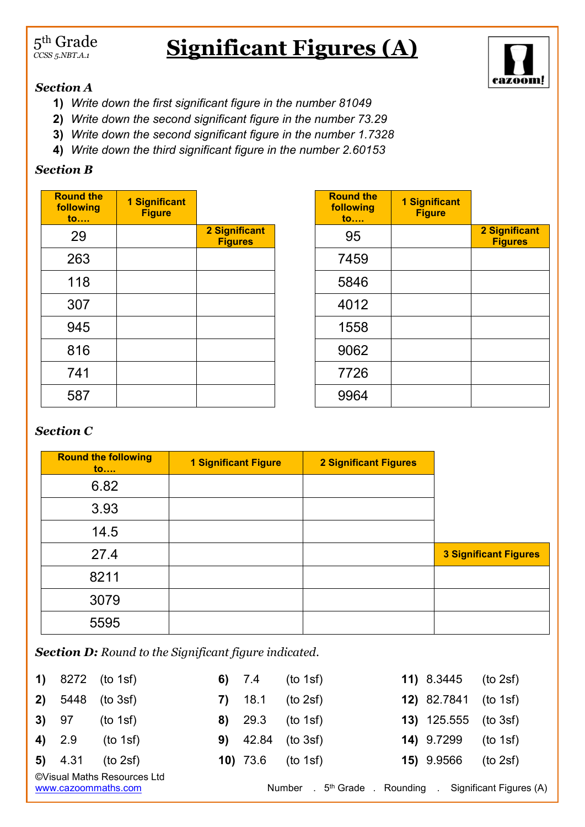#### $5^{\rm th}$  Grade *CCSS 5.NBT.A.1*

# **Significant Figures (A)**



### *Section A*

- **1)** *Write down the first significant figure in the number 81049*
- **2)** *Write down the second significant figure in the number 73.29*
- **3)** *Write down the second significant figure in the number 1.7328*
- **4)** *Write down the third significant figure in the number 2.60153*

### *Section B*

| <b>Round the</b><br>following<br>to | <b>1 Significant</b><br><b>Figure</b> |                                 |
|-------------------------------------|---------------------------------------|---------------------------------|
| 29                                  |                                       | 2 Significant<br><b>Figures</b> |
| 263                                 |                                       |                                 |
| 118                                 |                                       |                                 |
| 307                                 |                                       |                                 |
| 945                                 |                                       |                                 |
| 816                                 |                                       |                                 |
| 741                                 |                                       |                                 |
| 587                                 |                                       |                                 |

| <b>Round the</b><br>following<br>to | <b>1 Significant</b><br><b>Figure</b> |                                        |
|-------------------------------------|---------------------------------------|----------------------------------------|
| 95                                  |                                       | <b>2 Significant</b><br><b>Figures</b> |
| 7459                                |                                       |                                        |
| 5846                                |                                       |                                        |
| 4012                                |                                       |                                        |
| 1558                                |                                       |                                        |
| 9062                                |                                       |                                        |
| 7726                                |                                       |                                        |
| 9964                                |                                       |                                        |

## *Section C*

| <b>Round the following</b><br>$\mathbf{to}$ | <b>1 Significant Figure</b> | <b>2 Significant Figures</b> |                              |
|---------------------------------------------|-----------------------------|------------------------------|------------------------------|
| 6.82                                        |                             |                              |                              |
| 3.93                                        |                             |                              |                              |
| 14.5                                        |                             |                              |                              |
| 27.4                                        |                             |                              | <b>3 Significant Figures</b> |
| 8211                                        |                             |                              |                              |
| 3079                                        |                             |                              |                              |
| 5595                                        |                             |                              |                              |

*Section D: Round to the Significant figure indicated.*

|        |           | 1) $8272$ (to 1sf)                                             |      | 6) $7.4$ | (to 1sf)                                                                                        | <b>11)</b> $8.3445$ (to 2sf)  |          |
|--------|-----------|----------------------------------------------------------------|------|----------|-------------------------------------------------------------------------------------------------|-------------------------------|----------|
|        | 2) 5448   | (to 3sf)                                                       | 7) — | 18.1     | (to 2sf)                                                                                        | <b>12)</b> 82.7841 (to 1sf)   |          |
| 3) 97  |           | (to 1sf)                                                       |      | 8) 29.3  | (to 1sf)                                                                                        | <b>13)</b> $125.555$ (to 3sf) |          |
| 4) 2.9 |           | (to 1sf)                                                       |      |          | <b>9)</b> $42.84$ (to 3sf)                                                                      | 14) 9.7299                    | (to 1sf) |
|        | $5)$ 4.31 | (to 2sf)<br>©Visual Maths Resources Ltd<br>www.cazoommaths.com |      |          | <b>10)</b> 73.6 (to 1sf)<br>Number . 5 <sup>th</sup> Grade . Rounding . Significant Figures (A) | 15) 9.9566                    | (to 2sf) |